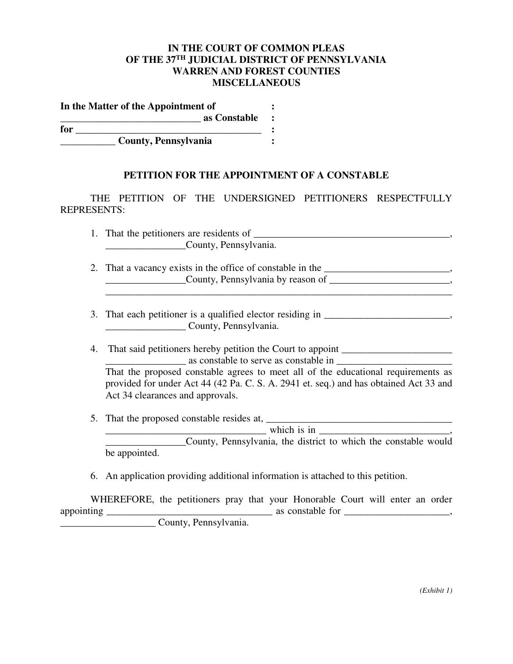## **IN THE COURT OF COMMON PLEAS OF THE 37TH JUDICIAL DISTRICT OF PENNSYLVANIA WARREN AND FOREST COUNTIES MISCELLANEOUS**

| In the Matter of the Appointment of |  |  |
|-------------------------------------|--|--|
| as Constable                        |  |  |
| for                                 |  |  |
| <b>County, Pennsylvania</b>         |  |  |

## **PETITION FOR THE APPOINTMENT OF A CONSTABLE**

 THE PETITION OF THE UNDERSIGNED PETITIONERS RESPECTFULLY REPRESENTS:

| 1. That the petitioners are residents of                |  |  |  |
|---------------------------------------------------------|--|--|--|
| County, Pennsylvania.                                   |  |  |  |
| That a vacanov syjete in the office of constable in the |  |  |  |

- 2. That a vacancy exists in the office of constable in the \_\_\_\_\_\_\_\_\_\_\_\_\_\_\_\_\_\_\_\_\_, \_\_\_\_\_\_\_\_\_\_\_\_\_\_\_\_County, Pennsylvania by reason of \_\_\_\_\_\_\_\_\_\_\_\_\_\_\_\_\_\_\_\_\_\_\_\_, \_\_\_\_\_\_\_\_\_\_\_\_\_\_\_\_\_\_\_\_\_\_\_\_\_\_\_\_\_\_\_\_\_\_\_\_\_\_\_\_\_\_\_\_\_\_\_\_\_\_\_\_\_\_\_\_\_\_\_\_\_\_\_\_\_\_\_\_\_
- 3. That each petitioner is a qualified elector residing in \_\_\_\_\_\_\_\_\_\_\_\_\_\_\_\_ County, Pennsylvania.
- 4. That said petitioners hereby petition the Court to appoint \_\_\_\_\_\_\_\_\_\_\_\_\_\_\_\_\_\_ as constable to serve as constable in That the proposed constable agrees to meet all of the educational requirements as provided for under Act 44 (42 Pa. C. S. A. 2941 et. seq.) and has obtained Act 33 and Act 34 clearances and approvals.
- 5. That the proposed constable resides at, \_\_\_\_\_\_\_\_\_\_\_\_\_\_\_\_\_\_\_\_\_\_\_\_\_\_\_\_\_\_\_\_\_\_\_\_\_

 $\text{which is in}$ \_\_\_\_\_\_\_\_\_\_\_\_\_\_\_\_County, Pennsylvania, the district to which the constable would be appointed.

6. An application providing additional information is attached to this petition.

 WHEREFORE, the petitioners pray that your Honorable Court will enter an order appointing \_\_\_\_\_\_\_\_\_\_\_\_\_\_\_\_\_\_\_\_\_\_\_\_\_\_\_\_\_\_\_\_\_ as constable for \_\_\_\_\_\_\_\_\_\_\_\_\_\_\_\_\_\_\_\_\_, \_\_\_\_\_\_\_\_\_\_\_\_\_\_\_\_\_\_\_ County, Pennsylvania.

*(Exhibit 1)*